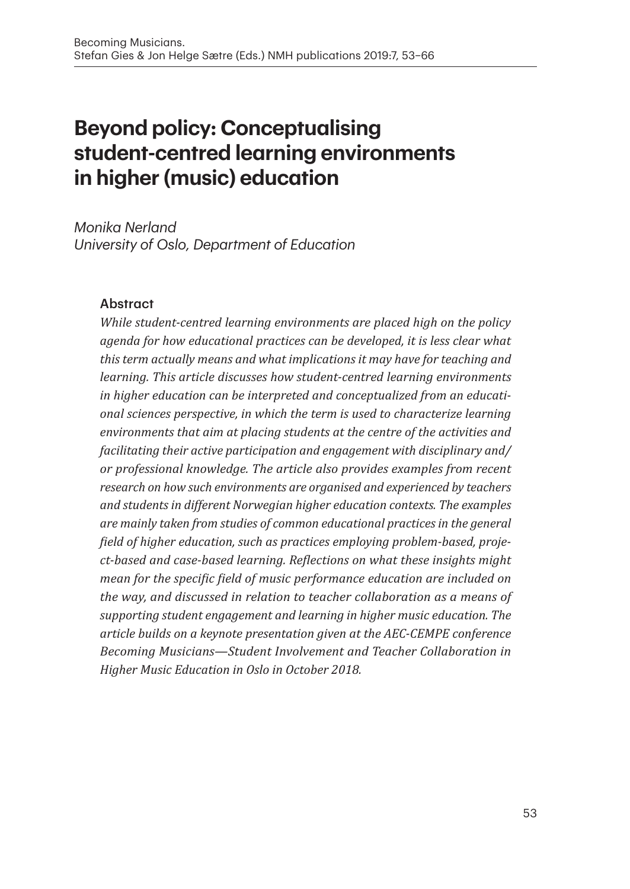# **Beyond policy: Conceptualising student-centred learning environments in higher (music) education**

*Monika Nerland University of Oslo, Department of Education*

#### Abstract

*While student-centred learning environments are placed high on the policy agenda for how educational practices can be developed, it is less clear what this term actually means and what implications it may have for teaching and learning. This article discusses how student-centred learning environments in higher education can be interpreted and conceptualized from an educational sciences perspective, in which the term is used to characterize learning environments that aim at placing students at the centre of the activities and facilitating their active participation and engagement with disciplinary and/ or professional knowledge. The article also provides examples from recent research on how such environments are organised and experienced by teachers and students in different Norwegian higher education contexts. The examples are mainly taken from studies of common educational practices in the general field of higher education, such as practices employing problem-based, project-based and case-based learning. Reflections on what these insights might mean for the specific field of music performance education are included on the way, and discussed in relation to teacher collaboration as a means of supporting student engagement and learning in higher music education. The article builds on a keynote presentation given at the AEC-CEMPE conference Becoming Musicians—Student Involvement and Teacher Collaboration in Higher Music Education in Oslo in October 2018.*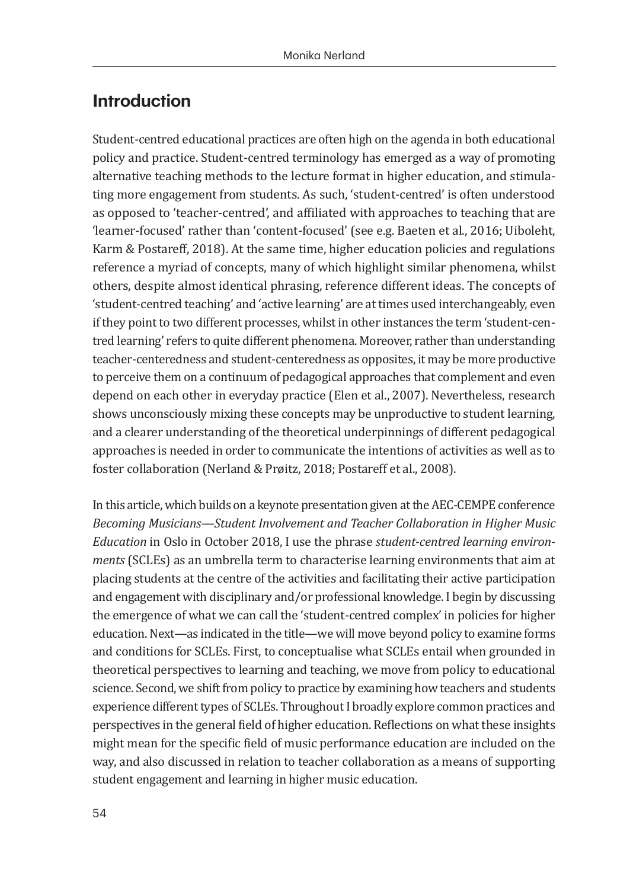### **Introduction**

Student-centred educational practices are often high on the agenda in both educational policy and practice. Student-centred terminology has emerged as a way of promoting alternative teaching methods to the lecture format in higher education, and stimulating more engagement from students. As such, 'student-centred' is often understood as opposed to 'teacher-centred', and affiliated with approaches to teaching that are 'learner-focused' rather than 'content-focused' (see e.g. Baeten et al., 2016; Uiboleht, Karm & Postareff, 2018). At the same time, higher education policies and regulations reference a myriad of concepts, many of which highlight similar phenomena, whilst others, despite almost identical phrasing, reference different ideas. The concepts of 'student-centred teaching' and 'active learning' are at times used interchangeably, even if they point to two different processes, whilst in other instances the term 'student-centred learning' refers to quite different phenomena. Moreover, rather than understanding teacher-centeredness and student-centeredness as opposites, it may be more productive to perceive them on a continuum of pedagogical approaches that complement and even depend on each other in everyday practice (Elen et al., 2007). Nevertheless, research shows unconsciously mixing these concepts may be unproductive to student learning, and a clearer understanding of the theoretical underpinnings of different pedagogical approaches is needed in order to communicate the intentions of activities as well as to foster collaboration (Nerland & Prøitz, 2018; Postareff et al., 2008).

In this article, which builds on a keynote presentation given at the AEC-CEMPE conference *Becoming Musicians—Student Involvement and Teacher Collaboration in Higher Music Education* in Oslo in October 2018, I use the phrase *student-centred learning environments* (SCLEs) as an umbrella term to characterise learning environments that aim at placing students at the centre of the activities and facilitating their active participation and engagement with disciplinary and/or professional knowledge. I begin by discussing the emergence of what we can call the 'student-centred complex' in policies for higher education. Next—as indicated in the title—we will move beyond policy to examine forms and conditions for SCLEs. First, to conceptualise what SCLEs entail when grounded in theoretical perspectives to learning and teaching, we move from policy to educational science. Second, we shift from policy to practice by examining how teachers and students experience different types of SCLEs. Throughout I broadly explore common practices and perspectives in the general field of higher education. Reflections on what these insights might mean for the specific field of music performance education are included on the way, and also discussed in relation to teacher collaboration as a means of supporting student engagement and learning in higher music education.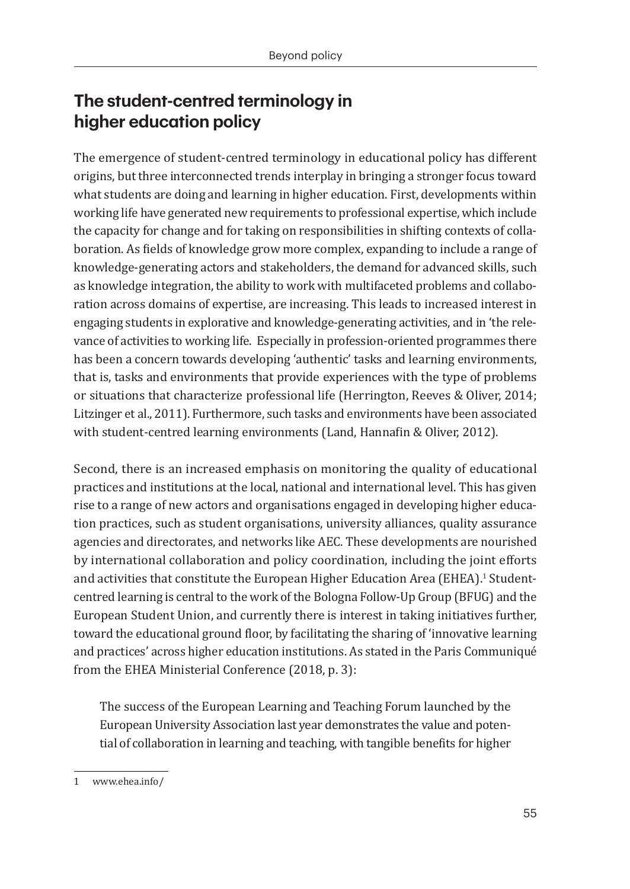# **The student-centred terminology in higher education policy**

The emergence of student-centred terminology in educational policy has different origins, but three interconnected trends interplay in bringing a stronger focus toward what students are doing and learning in higher education. First, developments within working life have generated new requirements to professional expertise, which include the capacity for change and for taking on responsibilities in shifting contexts of collaboration. As fields of knowledge grow more complex, expanding to include a range of knowledge-generating actors and stakeholders, the demand for advanced skills, such as knowledge integration, the ability to work with multifaceted problems and collaboration across domains of expertise, are increasing. This leads to increased interest in engaging students in explorative and knowledge-generating activities, and in 'the relevance of activities to working life. Especially in profession-oriented programmes there has been a concern towards developing 'authentic' tasks and learning environments, that is, tasks and environments that provide experiences with the type of problems or situations that characterize professional life (Herrington, Reeves & Oliver, 2014; Litzinger et al., 2011). Furthermore, such tasks and environments have been associated with student-centred learning environments (Land, Hannafin & Oliver, 2012).

Second, there is an increased emphasis on monitoring the quality of educational practices and institutions at the local, national and international level. This has given rise to a range of new actors and organisations engaged in developing higher education practices, such as student organisations, university alliances, quality assurance agencies and directorates, and networks like AEC. These developments are nourished by international collaboration and policy coordination, including the joint efforts and activities that constitute the European Higher Education Area (EHEA). $^{\text{!}}$  Studentcentred learning is central to the work of the Bologna Follow-Up Group (BFUG) and the European Student Union, and currently there is interest in taking initiatives further, toward the educational ground floor, by facilitating the sharing of 'innovative learning and practices' across higher education institutions. As stated in the Paris Communiqué from the EHEA Ministerial Conference (2018, p. 3):

The success of the European Learning and Teaching Forum launched by the European University Association last year demonstrates the value and potential of collaboration in learning and teaching, with tangible benefits for higher

<sup>1</sup>  www.ehea.info/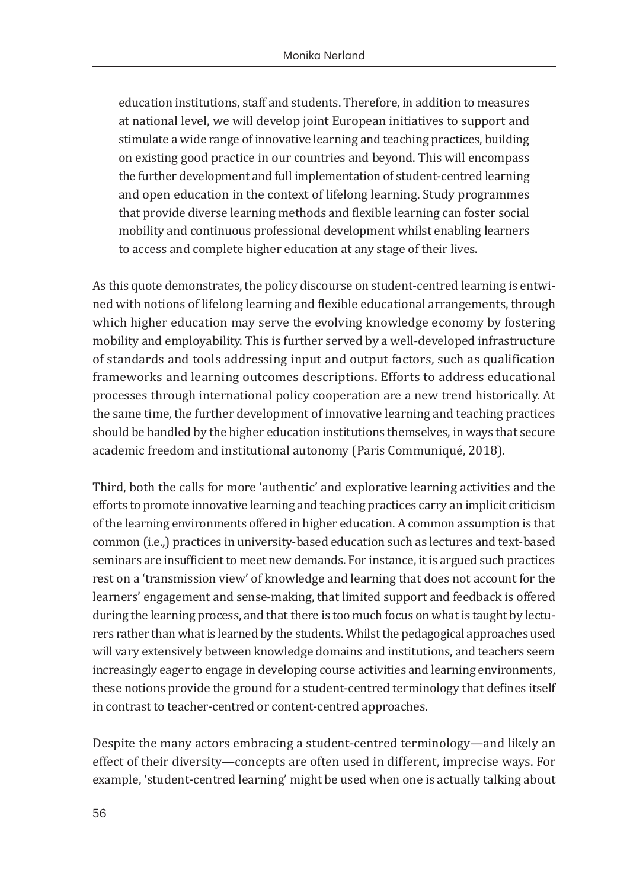education institutions, staff and students. Therefore, in addition to measures at national level, we will develop joint European initiatives to support and stimulate a wide range of innovative learning and teaching practices, building on existing good practice in our countries and beyond. This will encompass the further development and full implementation of student-centred learning and open education in the context of lifelong learning. Study programmes that provide diverse learning methods and flexible learning can foster social mobility and continuous professional development whilst enabling learners to access and complete higher education at any stage of their lives.

As this quote demonstrates, the policy discourse on student-centred learning is entwined with notions of lifelong learning and flexible educational arrangements, through which higher education may serve the evolving knowledge economy by fostering mobility and employability. This is further served by a well-developed infrastructure of standards and tools addressing input and output factors, such as qualification frameworks and learning outcomes descriptions. Efforts to address educational processes through international policy cooperation are a new trend historically. At the same time, the further development of innovative learning and teaching practices should be handled by the higher education institutions themselves, in ways that secure academic freedom and institutional autonomy (Paris Communiqué, 2018).

Third, both the calls for more 'authentic' and explorative learning activities and the efforts to promote innovative learning and teaching practices carry an implicit criticism of the learning environments offered in higher education. A common assumption is that common (i.e.,) practices in university-based education such as lectures and text-based seminars are insufficient to meet new demands. For instance, it is argued such practices rest on a 'transmission view' of knowledge and learning that does not account for the learners' engagement and sense-making, that limited support and feedback is offered during the learning process, and that there is too much focus on what is taught by lecturers rather than what is learned by the students. Whilst the pedagogical approaches used will vary extensively between knowledge domains and institutions, and teachers seem increasingly eager to engage in developing course activities and learning environments, these notions provide the ground for a student-centred terminology that defines itself in contrast to teacher-centred or content-centred approaches.

Despite the many actors embracing a student-centred terminology—and likely an effect of their diversity—concepts are often used in different, imprecise ways. For example, 'student-centred learning' might be used when one is actually talking about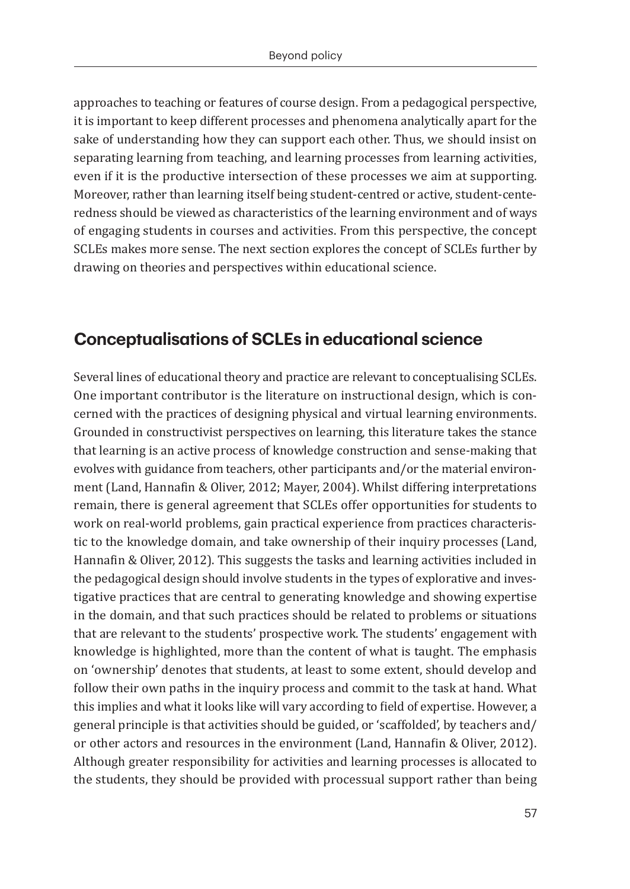approaches to teaching or features of course design. From a pedagogical perspective, it is important to keep different processes and phenomena analytically apart for the sake of understanding how they can support each other. Thus, we should insist on separating learning from teaching, and learning processes from learning activities, even if it is the productive intersection of these processes we aim at supporting. Moreover, rather than learning itself being student-centred or active, student-centeredness should be viewed as characteristics of the learning environment and of ways of engaging students in courses and activities. From this perspective, the concept SCLEs makes more sense. The next section explores the concept of SCLEs further by drawing on theories and perspectives within educational science.

#### **Conceptualisations of SCLEs in educational science**

Several lines of educational theory and practice are relevant to conceptualising SCLEs. One important contributor is the literature on instructional design, which is concerned with the practices of designing physical and virtual learning environments. Grounded in constructivist perspectives on learning, this literature takes the stance that learning is an active process of knowledge construction and sense-making that evolves with guidance from teachers, other participants and/or the material environment (Land, Hannafin & Oliver, 2012; Mayer, 2004). Whilst differing interpretations remain, there is general agreement that SCLEs offer opportunities for students to work on real-world problems, gain practical experience from practices characteristic to the knowledge domain, and take ownership of their inquiry processes (Land, Hannafin & Oliver, 2012). This suggests the tasks and learning activities included in the pedagogical design should involve students in the types of explorative and investigative practices that are central to generating knowledge and showing expertise in the domain, and that such practices should be related to problems or situations that are relevant to the students' prospective work. The students' engagement with knowledge is highlighted, more than the content of what is taught. The emphasis on 'ownership' denotes that students, at least to some extent, should develop and follow their own paths in the inquiry process and commit to the task at hand. What this implies and what it looks like will vary according to field of expertise. However, a general principle is that activities should be guided, or 'scaffolded', by teachers and/ or other actors and resources in the environment (Land, Hannafin & Oliver, 2012). Although greater responsibility for activities and learning processes is allocated to the students, they should be provided with processual support rather than being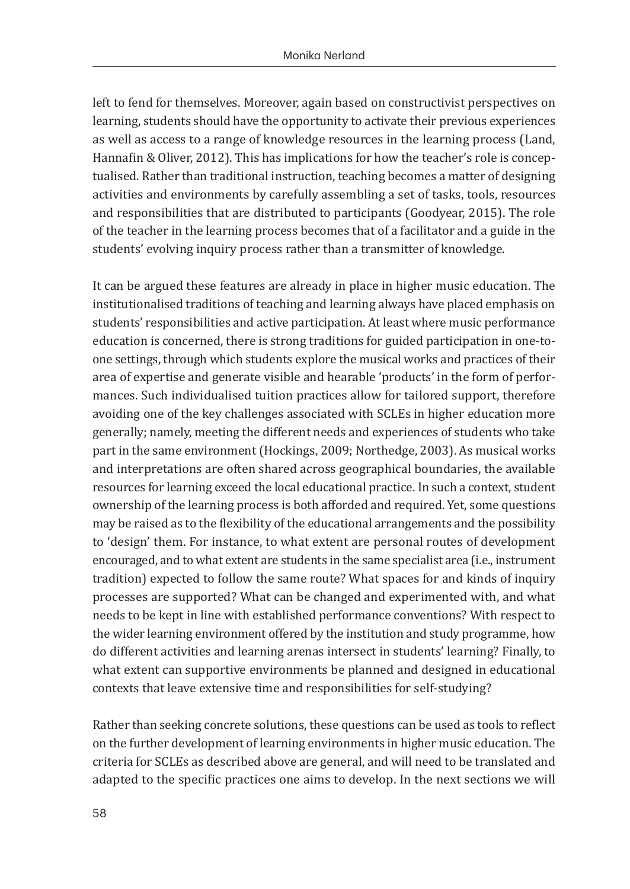left to fend for themselves. Moreover, again based on constructivist perspectives on learning, students should have the opportunity to activate their previous experiences as well as access to a range of knowledge resources in the learning process (Land, Hannafin & Oliver, 2012). This has implications for how the teacher's role is conceptualised. Rather than traditional instruction, teaching becomes a matter of designing activities and environments by carefully assembling a set of tasks, tools, resources and responsibilities that are distributed to participants (Goodyear, 2015). The role of the teacher in the learning process becomes that of a facilitator and a guide in the students' evolving inquiry process rather than a transmitter of knowledge.

It can be argued these features are already in place in higher music education. The institutionalised traditions of teaching and learning always have placed emphasis on students' responsibilities and active participation. At least where music performance education is concerned, there is strong traditions for guided participation in one-toone settings, through which students explore the musical works and practices of their area of expertise and generate visible and hearable 'products' in the form of performances. Such individualised tuition practices allow for tailored support, therefore avoiding one of the key challenges associated with SCLEs in higher education more generally; namely, meeting the different needs and experiences of students who take part in the same environment (Hockings, 2009; Northedge, 2003). As musical works and interpretations are often shared across geographical boundaries, the available resources for learning exceed the local educational practice. In such a context, student ownership of the learning process is both afforded and required. Yet, some questions may be raised as to the flexibility of the educational arrangements and the possibility to 'design' them. For instance, to what extent are personal routes of development encouraged, and to what extent are students in the same specialist area (i.e., instrument tradition) expected to follow the same route? What spaces for and kinds of inquiry processes are supported? What can be changed and experimented with, and what needs to be kept in line with established performance conventions? With respect to the wider learning environment offered by the institution and study programme, how do different activities and learning arenas intersect in students' learning? Finally, to what extent can supportive environments be planned and designed in educational contexts that leave extensive time and responsibilities for self-studying?

Rather than seeking concrete solutions, these questions can be used as tools to reflect on the further development of learning environments in higher music education. The criteria for SCLEs as described above are general, and will need to be translated and adapted to the specific practices one aims to develop. In the next sections we will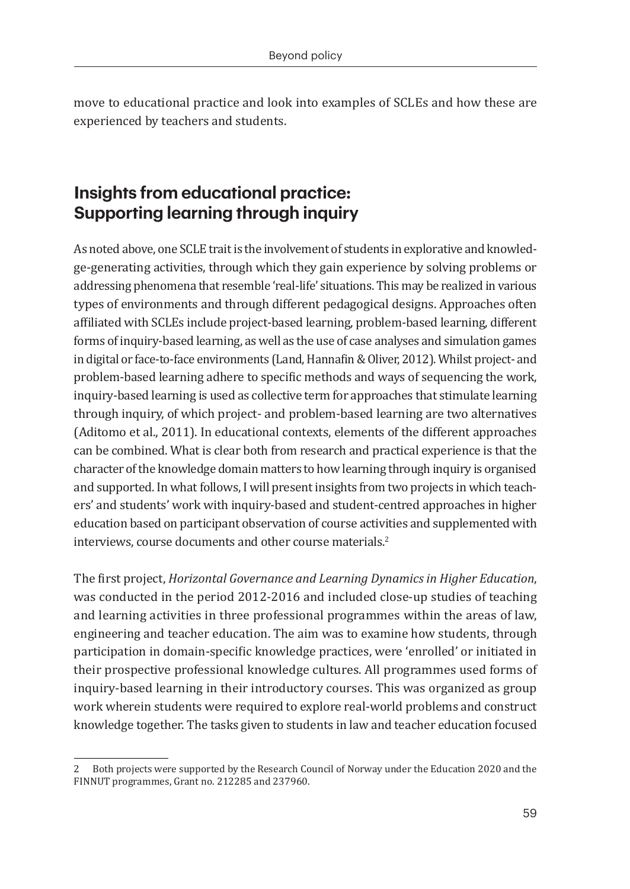move to educational practice and look into examples of SCLEs and how these are experienced by teachers and students.

# **Insights from educational practice: Supporting learning through inquiry**

As noted above, one SCLE trait is the involvement of students in explorative and knowledge-generating activities, through which they gain experience by solving problems or addressing phenomena that resemble 'real-life' situations. This may be realized in various types of environments and through different pedagogical designs. Approaches often affiliated with SCLEs include project-based learning, problem-based learning, different forms of inquiry-based learning, as well as the use of case analyses and simulation games in digital or face-to-face environments (Land, Hannafin & Oliver, 2012). Whilst project- and problem-based learning adhere to specific methods and ways of sequencing the work, inquiry-based learning is used as collective term for approaches that stimulate learning through inquiry, of which project- and problem-based learning are two alternatives (Aditomo et al., 2011). In educational contexts, elements of the different approaches can be combined. What is clear both from research and practical experience is that the character of the knowledge domain matters to how learning through inquiry is organised and supported. In what follows, I will present insights from two projects in which teachers' and students' work with inquiry-based and student-centred approaches in higher education based on participant observation of course activities and supplemented with interviews, course documents and other course materials.<sup>2</sup>

The first project, *Horizontal Governance and Learning Dynamics in Higher Education*, was conducted in the period 2012-2016 and included close-up studies of teaching and learning activities in three professional programmes within the areas of law, engineering and teacher education. The aim was to examine how students, through participation in domain-specific knowledge practices, were 'enrolled' or initiated in their prospective professional knowledge cultures. All programmes used forms of inquiry-based learning in their introductory courses. This was organized as group work wherein students were required to explore real-world problems and construct knowledge together. The tasks given to students in law and teacher education focused

<sup>2</sup> Both projects were supported by the Research Council of Norway under the Education 2020 and the FINNUT programmes, Grant no. 212285 and 237960.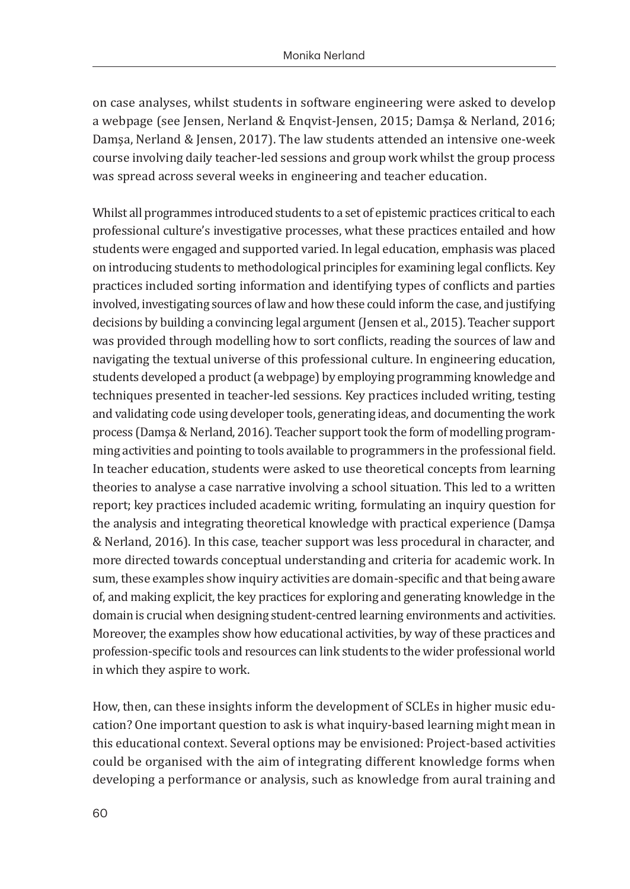on case analyses, whilst students in software engineering were asked to develop a webpage (see Jensen, Nerland & Enqvist-Jensen, 2015; Damşa & Nerland, 2016; Damşa, Nerland & Jensen, 2017). The law students attended an intensive one-week course involving daily teacher-led sessions and group work whilst the group process was spread across several weeks in engineering and teacher education.

Whilst all programmes introduced students to a set of epistemic practices critical to each professional culture's investigative processes, what these practices entailed and how students were engaged and supported varied. In legal education, emphasis was placed on introducing students to methodological principles for examining legal conflicts. Key practices included sorting information and identifying types of conflicts and parties involved, investigating sources of law and how these could inform the case, and justifying decisions by building a convincing legal argument (Jensen et al., 2015). Teacher support was provided through modelling how to sort conflicts, reading the sources of law and navigating the textual universe of this professional culture. In engineering education, students developed a product (a webpage) by employing programming knowledge and techniques presented in teacher-led sessions. Key practices included writing, testing and validating code using developer tools, generating ideas, and documenting the work process (Damşa & Nerland, 2016). Teacher support took the form of modelling programming activities and pointing to tools available to programmers in the professional field. In teacher education, students were asked to use theoretical concepts from learning theories to analyse a case narrative involving a school situation. This led to a written report; key practices included academic writing, formulating an inquiry question for the analysis and integrating theoretical knowledge with practical experience (Damşa & Nerland, 2016). In this case, teacher support was less procedural in character, and more directed towards conceptual understanding and criteria for academic work. In sum, these examples show inquiry activities are domain-specific and that being aware of, and making explicit, the key practices for exploring and generating knowledge in the domain is crucial when designing student-centred learning environments and activities. Moreover, the examples show how educational activities, by way of these practices and profession-specific tools and resources can link students to the wider professional world in which they aspire to work.

How, then, can these insights inform the development of SCLEs in higher music education? One important question to ask is what inquiry-based learning might mean in this educational context. Several options may be envisioned: Project-based activities could be organised with the aim of integrating different knowledge forms when developing a performance or analysis, such as knowledge from aural training and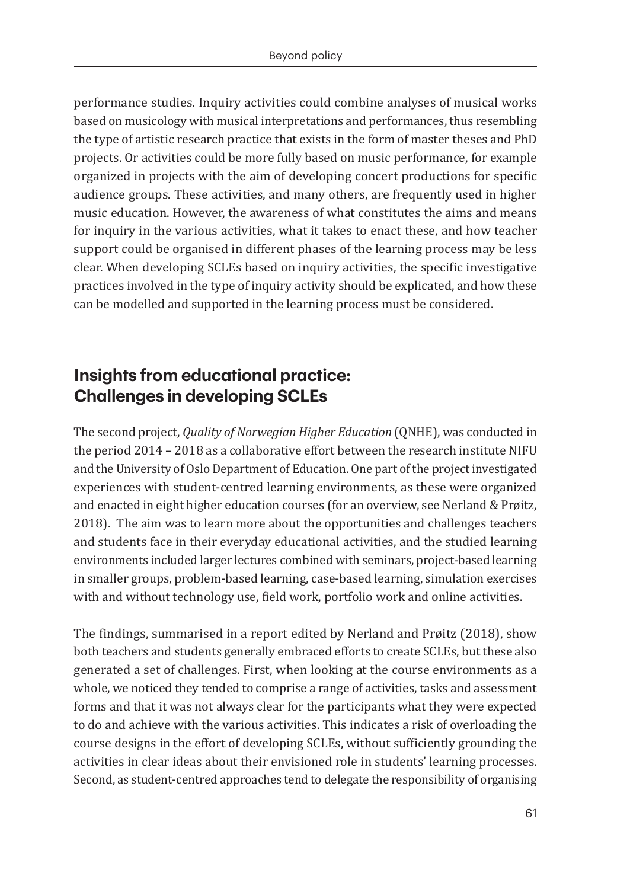performance studies. Inquiry activities could combine analyses of musical works based on musicology with musical interpretations and performances, thus resembling the type of artistic research practice that exists in the form of master theses and PhD projects. Or activities could be more fully based on music performance, for example organized in projects with the aim of developing concert productions for specific audience groups. These activities, and many others, are frequently used in higher music education. However, the awareness of what constitutes the aims and means for inquiry in the various activities, what it takes to enact these, and how teacher support could be organised in different phases of the learning process may be less clear. When developing SCLEs based on inquiry activities, the specific investigative practices involved in the type of inquiry activity should be explicated, and how these can be modelled and supported in the learning process must be considered.

# **Insights from educational practice: Challenges in developing SCLEs**

The second project, *Quality of Norwegian Higher Education* (QNHE), was conducted in the period 2014 – 2018 as a collaborative effort between the research institute NIFU and the University of Oslo Department of Education. One part of the project investigated experiences with student-centred learning environments, as these were organized and enacted in eight higher education courses (for an overview, see Nerland & Prøitz, 2018). The aim was to learn more about the opportunities and challenges teachers and students face in their everyday educational activities, and the studied learning environments included larger lectures combined with seminars, project-based learning in smaller groups, problem-based learning, case-based learning, simulation exercises with and without technology use, field work, portfolio work and online activities.

The findings, summarised in a report edited by Nerland and Prøitz (2018), show both teachers and students generally embraced efforts to create SCLEs, but these also generated a set of challenges. First, when looking at the course environments as a whole, we noticed they tended to comprise a range of activities, tasks and assessment forms and that it was not always clear for the participants what they were expected to do and achieve with the various activities. This indicates a risk of overloading the course designs in the effort of developing SCLEs, without sufficiently grounding the activities in clear ideas about their envisioned role in students' learning processes. Second, as student-centred approaches tend to delegate the responsibility of organising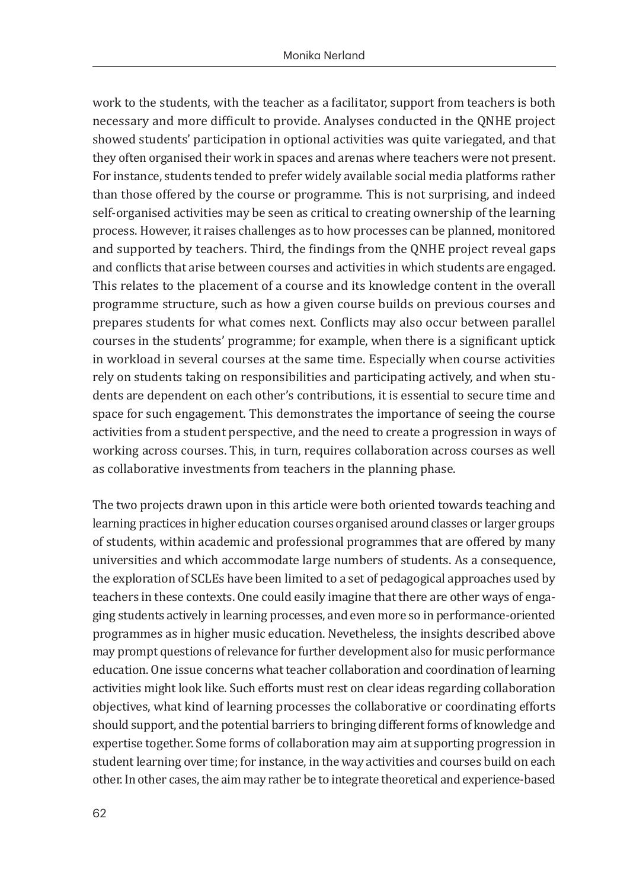work to the students, with the teacher as a facilitator, support from teachers is both necessary and more difficult to provide. Analyses conducted in the QNHE project showed students' participation in optional activities was quite variegated, and that they often organised their work in spaces and arenas where teachers were not present. For instance, students tended to prefer widely available social media platforms rather than those offered by the course or programme. This is not surprising, and indeed self-organised activities may be seen as critical to creating ownership of the learning process. However, it raises challenges as to how processes can be planned, monitored and supported by teachers. Third, the findings from the QNHE project reveal gaps and conflicts that arise between courses and activities in which students are engaged. This relates to the placement of a course and its knowledge content in the overall programme structure, such as how a given course builds on previous courses and prepares students for what comes next. Conflicts may also occur between parallel courses in the students' programme; for example, when there is a significant uptick in workload in several courses at the same time. Especially when course activities rely on students taking on responsibilities and participating actively, and when students are dependent on each other's contributions, it is essential to secure time and space for such engagement. This demonstrates the importance of seeing the course activities from a student perspective, and the need to create a progression in ways of working across courses. This, in turn, requires collaboration across courses as well as collaborative investments from teachers in the planning phase.

The two projects drawn upon in this article were both oriented towards teaching and learning practices in higher education courses organised around classes or larger groups of students, within academic and professional programmes that are offered by many universities and which accommodate large numbers of students. As a consequence, the exploration of SCLEs have been limited to a set of pedagogical approaches used by teachers in these contexts. One could easily imagine that there are other ways of engaging students actively in learning processes, and even more so in performance-oriented programmes as in higher music education. Nevetheless, the insights described above may prompt questions of relevance for further development also for music performance education. One issue concerns what teacher collaboration and coordination of learning activities might look like. Such efforts must rest on clear ideas regarding collaboration objectives, what kind of learning processes the collaborative or coordinating efforts should support, and the potential barriers to bringing different forms of knowledge and expertise together. Some forms of collaboration may aim at supporting progression in student learning over time; for instance, in the way activities and courses build on each other. In other cases, the aim may rather be to integrate theoretical and experience-based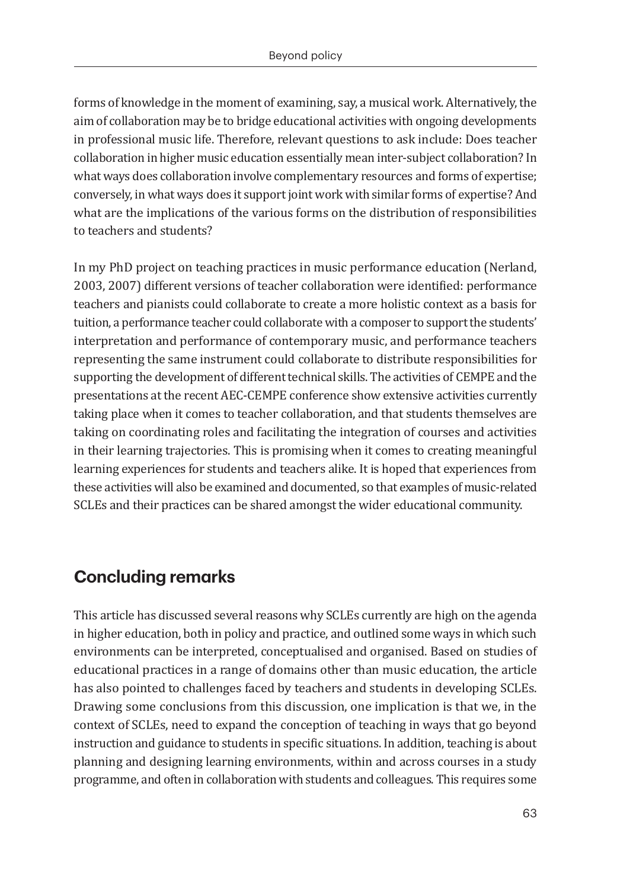forms of knowledge in the moment of examining, say, a musical work. Alternatively, the aim of collaboration may be to bridge educational activities with ongoing developments in professional music life. Therefore, relevant questions to ask include: Does teacher collaboration in higher music education essentially mean inter-subject collaboration? In what ways does collaboration involve complementary resources and forms of expertise; conversely, in what ways does it support joint work with similar forms of expertise? And what are the implications of the various forms on the distribution of responsibilities to teachers and students?

In my PhD project on teaching practices in music performance education (Nerland, 2003, 2007) different versions of teacher collaboration were identified: performance teachers and pianists could collaborate to create a more holistic context as a basis for tuition, a performance teacher could collaborate with a composer to support the students' interpretation and performance of contemporary music, and performance teachers representing the same instrument could collaborate to distribute responsibilities for supporting the development of different technical skills. The activities of CEMPE and the presentations at the recent AEC-CEMPE conference show extensive activities currently taking place when it comes to teacher collaboration, and that students themselves are taking on coordinating roles and facilitating the integration of courses and activities in their learning trajectories. This is promising when it comes to creating meaningful learning experiences for students and teachers alike. It is hoped that experiences from these activities will also be examined and documented, so that examples of music-related SCLEs and their practices can be shared amongst the wider educational community.

## **Concluding remarks**

This article has discussed several reasons why SCLEs currently are high on the agenda in higher education, both in policy and practice, and outlined some ways in which such environments can be interpreted, conceptualised and organised. Based on studies of educational practices in a range of domains other than music education, the article has also pointed to challenges faced by teachers and students in developing SCLEs. Drawing some conclusions from this discussion, one implication is that we, in the context of SCLEs, need to expand the conception of teaching in ways that go beyond instruction and guidance to students in specific situations. In addition, teaching is about planning and designing learning environments, within and across courses in a study programme, and often in collaboration with students and colleagues. This requires some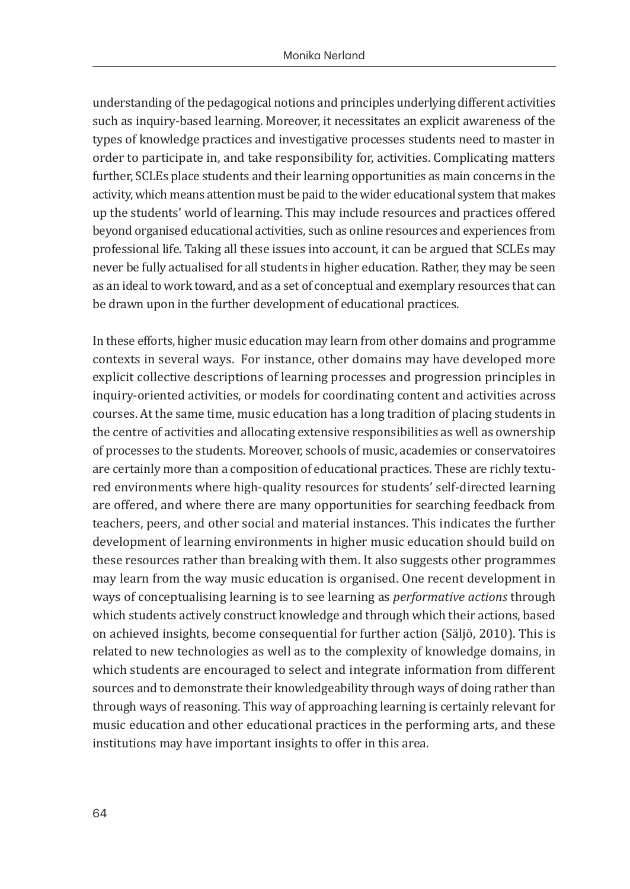understanding of the pedagogical notions and principles underlying different activities such as inquiry-based learning. Moreover, it necessitates an explicit awareness of the types of knowledge practices and investigative processes students need to master in order to participate in, and take responsibility for, activities. Complicating matters further, SCLEs place students and their learning opportunities as main concerns in the activity, which means attention must be paid to the wider educational system that makes up the students' world of learning. This may include resources and practices offered beyond organised educational activities, such as online resources and experiences from professional life. Taking all these issues into account, it can be argued that SCLEs may never be fully actualised for all students in higher education. Rather, they may be seen as an ideal to work toward, and as a set of conceptual and exemplary resources that can be drawn upon in the further development of educational practices.

In these efforts, higher music education may learn from other domains and programme contexts in several ways. For instance, other domains may have developed more explicit collective descriptions of learning processes and progression principles in inquiry-oriented activities, or models for coordinating content and activities across courses. At the same time, music education has a long tradition of placing students in the centre of activities and allocating extensive responsibilities as well as ownership of processes to the students. Moreover, schools of music, academies or conservatoires are certainly more than a composition of educational practices. These are richly textured environments where high-quality resources for students' self-directed learning are offered, and where there are many opportunities for searching feedback from teachers, peers, and other social and material instances. This indicates the further development of learning environments in higher music education should build on these resources rather than breaking with them. It also suggests other programmes may learn from the way music education is organised. One recent development in ways of conceptualising learning is to see learning as *performative actions* through which students actively construct knowledge and through which their actions, based on achieved insights, become consequential for further action (Säljö, 2010). This is related to new technologies as well as to the complexity of knowledge domains, in which students are encouraged to select and integrate information from different sources and to demonstrate their knowledgeability through ways of doing rather than through ways of reasoning. This way of approaching learning is certainly relevant for music education and other educational practices in the performing arts, and these institutions may have important insights to offer in this area.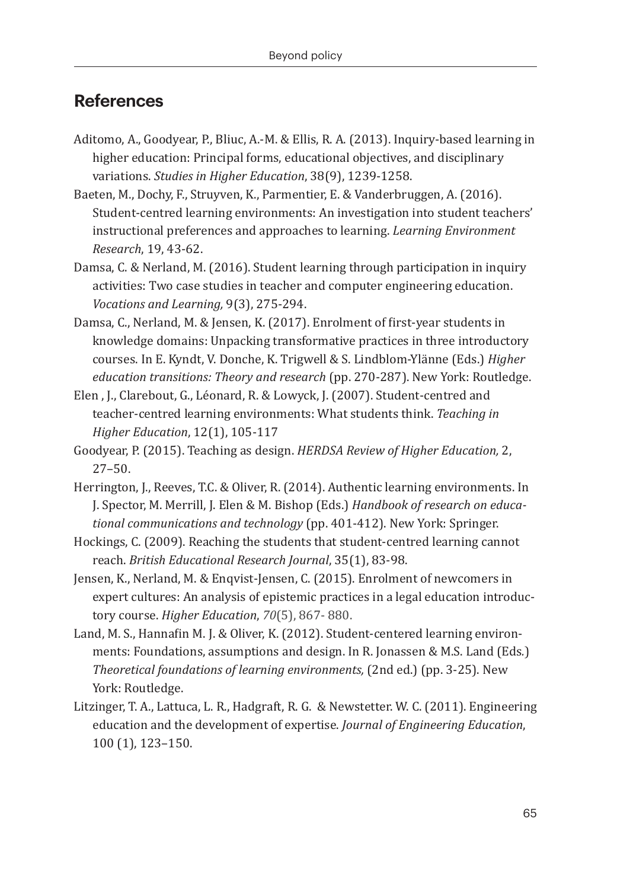#### **References**

- Aditomo, A., Goodyear, P., Bliuc, A.-M. & Ellis, R. A. (2013). Inquiry-based learning in higher education: Principal forms, educational objectives, and disciplinary variations. *Studies in Higher Education*, 38(9), 1239-1258.
- Baeten, M., Dochy, F., Struyven, K., Parmentier, E. & Vanderbruggen, A. (2016). Student-centred learning environments: An investigation into student teachers' instructional preferences and approaches to learning. *Learning Environment Research*, 19, 43-62.
- Damsa, C. & Nerland, M. (2016). Student learning through participation in inquiry activities: Two case studies in teacher and computer engineering education. *Vocations and Learning,* 9(3), 275-294.
- Damsa, C., Nerland, M. & Jensen, K. (2017). Enrolment of first-year students in knowledge domains: Unpacking transformative practices in three introductory courses. In E. Kyndt, V. Donche, K. Trigwell & S. Lindblom-Ylänne (Eds.) *Higher education transitions: Theory and research* (pp. 270-287). New York: Routledge.
- Elen , J., Clarebout, G., Léonard, R. & Lowyck, J. (2007). Student-centred and teacher-centred learning environments: What students think. *Teaching in Higher Education*, 12(1), 105-117
- Goodyear, P. (2015). Teaching as design. *HERDSA Review of Higher Education,* 2, 27–50.
- Herrington, J., Reeves, T.C. & Oliver, R. (2014). Authentic learning environments. In J. Spector, M. Merrill, J. Elen & M. Bishop (Eds.) *Handbook of research on educational communications and technology* (pp. 401-412). New York: Springer.
- Hockings, C. (2009). Reaching the students that student-centred learning cannot reach. *British Educational Research Journal*, 35(1), 83-98.
- Jensen, K., Nerland, M. & Enqvist-Jensen, C. (2015). Enrolment of newcomers in expert cultures: An analysis of epistemic practices in a legal education introductory course. *Higher Education*, *70*(5), 867- 880.
- Land, M. S., Hannafin M. J. & Oliver, K. (2012). Student-centered learning environments: Foundations, assumptions and design. In R. Jonassen & M.S. Land (Eds*.*) *Theoretical foundations of learning environments,* (2nd ed.) (pp. 3-25). New York: Routledge.
- Litzinger, T. A., Lattuca, L. R., Hadgraft, R. G. & Newstetter. W. C. (2011). Engineering education and the development of expertise. *Journal of Engineering Education*, 100 (1), 123–150.